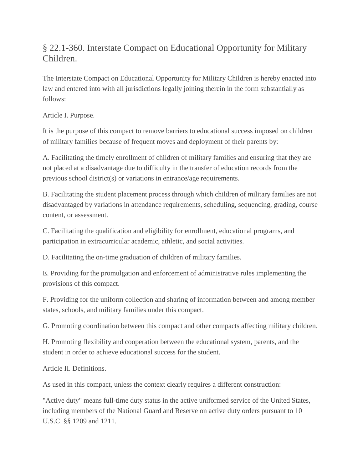## § 22.1-360. Interstate Compact on Educational Opportunity for Military Children.

The Interstate Compact on Educational Opportunity for Military Children is hereby enacted into law and entered into with all jurisdictions legally joining therein in the form substantially as follows:

Article I. Purpose.

It is the purpose of this compact to remove barriers to educational success imposed on children of military families because of frequent moves and deployment of their parents by:

A. Facilitating the timely enrollment of children of military families and ensuring that they are not placed at a disadvantage due to difficulty in the transfer of education records from the previous school district(s) or variations in entrance/age requirements.

B. Facilitating the student placement process through which children of military families are not disadvantaged by variations in attendance requirements, scheduling, sequencing, grading, course content, or assessment.

C. Facilitating the qualification and eligibility for enrollment, educational programs, and participation in extracurricular academic, athletic, and social activities.

D. Facilitating the on-time graduation of children of military families.

E. Providing for the promulgation and enforcement of administrative rules implementing the provisions of this compact.

F. Providing for the uniform collection and sharing of information between and among member states, schools, and military families under this compact.

G. Promoting coordination between this compact and other compacts affecting military children.

H. Promoting flexibility and cooperation between the educational system, parents, and the student in order to achieve educational success for the student.

Article II. Definitions.

As used in this compact, unless the context clearly requires a different construction:

"Active duty" means full-time duty status in the active uniformed service of the United States, including members of the National Guard and Reserve on active duty orders pursuant to 10 U.S.C. §§ 1209 and 1211.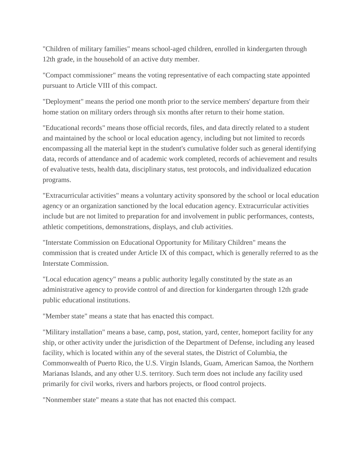"Children of military families" means school-aged children, enrolled in kindergarten through 12th grade, in the household of an active duty member.

"Compact commissioner" means the voting representative of each compacting state appointed pursuant to Article VIII of this compact.

"Deployment" means the period one month prior to the service members' departure from their home station on military orders through six months after return to their home station.

"Educational records" means those official records, files, and data directly related to a student and maintained by the school or local education agency, including but not limited to records encompassing all the material kept in the student's cumulative folder such as general identifying data, records of attendance and of academic work completed, records of achievement and results of evaluative tests, health data, disciplinary status, test protocols, and individualized education programs.

"Extracurricular activities" means a voluntary activity sponsored by the school or local education agency or an organization sanctioned by the local education agency. Extracurricular activities include but are not limited to preparation for and involvement in public performances, contests, athletic competitions, demonstrations, displays, and club activities.

"Interstate Commission on Educational Opportunity for Military Children" means the commission that is created under Article IX of this compact, which is generally referred to as the Interstate Commission.

"Local education agency" means a public authority legally constituted by the state as an administrative agency to provide control of and direction for kindergarten through 12th grade public educational institutions.

"Member state" means a state that has enacted this compact.

"Military installation" means a base, camp, post, station, yard, center, homeport facility for any ship, or other activity under the jurisdiction of the Department of Defense, including any leased facility, which is located within any of the several states, the District of Columbia, the Commonwealth of Puerto Rico, the U.S. Virgin Islands, Guam, American Samoa, the Northern Marianas Islands, and any other U.S. territory. Such term does not include any facility used primarily for civil works, rivers and harbors projects, or flood control projects.

"Nonmember state" means a state that has not enacted this compact.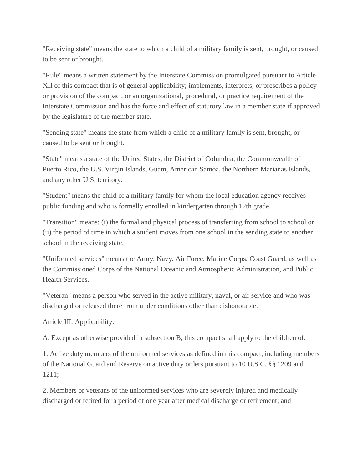"Receiving state" means the state to which a child of a military family is sent, brought, or caused to be sent or brought.

"Rule" means a written statement by the Interstate Commission promulgated pursuant to Article XII of this compact that is of general applicability; implements, interprets, or prescribes a policy or provision of the compact, or an organizational, procedural, or practice requirement of the Interstate Commission and has the force and effect of statutory law in a member state if approved by the legislature of the member state.

"Sending state" means the state from which a child of a military family is sent, brought, or caused to be sent or brought.

"State" means a state of the United States, the District of Columbia, the Commonwealth of Puerto Rico, the U.S. Virgin Islands, Guam, American Samoa, the Northern Marianas Islands, and any other U.S. territory.

"Student" means the child of a military family for whom the local education agency receives public funding and who is formally enrolled in kindergarten through 12th grade.

"Transition" means: (i) the formal and physical process of transferring from school to school or (ii) the period of time in which a student moves from one school in the sending state to another school in the receiving state.

"Uniformed services" means the Army, Navy, Air Force, Marine Corps, Coast Guard, as well as the Commissioned Corps of the National Oceanic and Atmospheric Administration, and Public Health Services.

"Veteran" means a person who served in the active military, naval, or air service and who was discharged or released there from under conditions other than dishonorable.

Article III. Applicability.

A. Except as otherwise provided in subsection B, this compact shall apply to the children of:

1. Active duty members of the uniformed services as defined in this compact, including members of the National Guard and Reserve on active duty orders pursuant to 10 U.S.C. §§ 1209 and 1211;

2. Members or veterans of the uniformed services who are severely injured and medically discharged or retired for a period of one year after medical discharge or retirement; and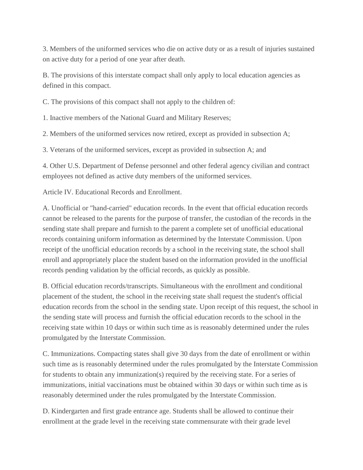3. Members of the uniformed services who die on active duty or as a result of injuries sustained on active duty for a period of one year after death.

B. The provisions of this interstate compact shall only apply to local education agencies as defined in this compact.

C. The provisions of this compact shall not apply to the children of:

1. Inactive members of the National Guard and Military Reserves;

2. Members of the uniformed services now retired, except as provided in subsection A;

3. Veterans of the uniformed services, except as provided in subsection A; and

4. Other U.S. Department of Defense personnel and other federal agency civilian and contract employees not defined as active duty members of the uniformed services.

Article IV. Educational Records and Enrollment.

A. Unofficial or "hand-carried" education records. In the event that official education records cannot be released to the parents for the purpose of transfer, the custodian of the records in the sending state shall prepare and furnish to the parent a complete set of unofficial educational records containing uniform information as determined by the Interstate Commission. Upon receipt of the unofficial education records by a school in the receiving state, the school shall enroll and appropriately place the student based on the information provided in the unofficial records pending validation by the official records, as quickly as possible.

B. Official education records/transcripts. Simultaneous with the enrollment and conditional placement of the student, the school in the receiving state shall request the student's official education records from the school in the sending state. Upon receipt of this request, the school in the sending state will process and furnish the official education records to the school in the receiving state within 10 days or within such time as is reasonably determined under the rules promulgated by the Interstate Commission.

C. Immunizations. Compacting states shall give 30 days from the date of enrollment or within such time as is reasonably determined under the rules promulgated by the Interstate Commission for students to obtain any immunization(s) required by the receiving state. For a series of immunizations, initial vaccinations must be obtained within 30 days or within such time as is reasonably determined under the rules promulgated by the Interstate Commission.

D. Kindergarten and first grade entrance age. Students shall be allowed to continue their enrollment at the grade level in the receiving state commensurate with their grade level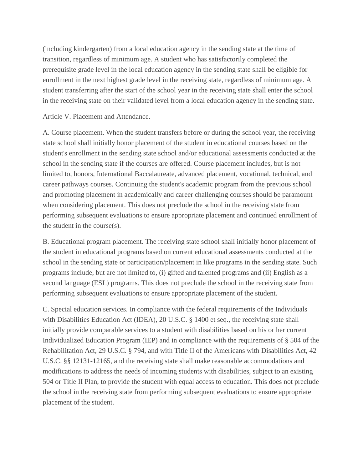(including kindergarten) from a local education agency in the sending state at the time of transition, regardless of minimum age. A student who has satisfactorily completed the prerequisite grade level in the local education agency in the sending state shall be eligible for enrollment in the next highest grade level in the receiving state, regardless of minimum age. A student transferring after the start of the school year in the receiving state shall enter the school in the receiving state on their validated level from a local education agency in the sending state.

Article V. Placement and Attendance.

A. Course placement. When the student transfers before or during the school year, the receiving state school shall initially honor placement of the student in educational courses based on the student's enrollment in the sending state school and/or educational assessments conducted at the school in the sending state if the courses are offered. Course placement includes, but is not limited to, honors, International Baccalaureate, advanced placement, vocational, technical, and career pathways courses. Continuing the student's academic program from the previous school and promoting placement in academically and career challenging courses should be paramount when considering placement. This does not preclude the school in the receiving state from performing subsequent evaluations to ensure appropriate placement and continued enrollment of the student in the course(s).

B. Educational program placement. The receiving state school shall initially honor placement of the student in educational programs based on current educational assessments conducted at the school in the sending state or participation/placement in like programs in the sending state. Such programs include, but are not limited to, (i) gifted and talented programs and (ii) English as a second language (ESL) programs. This does not preclude the school in the receiving state from performing subsequent evaluations to ensure appropriate placement of the student.

C. Special education services. In compliance with the federal requirements of the Individuals with Disabilities Education Act (IDEA), 20 U.S.C. § 1400 et seq., the receiving state shall initially provide comparable services to a student with disabilities based on his or her current Individualized Education Program (IEP) and in compliance with the requirements of § 504 of the Rehabilitation Act, 29 U.S.C. § 794, and with Title II of the Americans with Disabilities Act, 42 U.S.C. §§ 12131-12165, and the receiving state shall make reasonable accommodations and modifications to address the needs of incoming students with disabilities, subject to an existing 504 or Title II Plan, to provide the student with equal access to education. This does not preclude the school in the receiving state from performing subsequent evaluations to ensure appropriate placement of the student.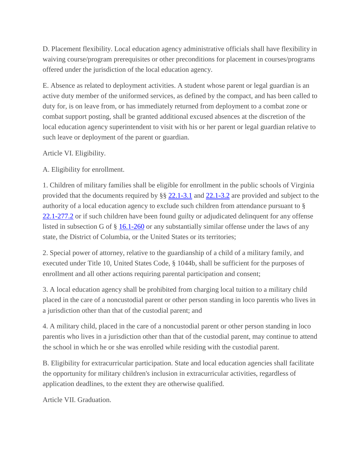D. Placement flexibility. Local education agency administrative officials shall have flexibility in waiving course/program prerequisites or other preconditions for placement in courses/programs offered under the jurisdiction of the local education agency.

E. Absence as related to deployment activities. A student whose parent or legal guardian is an active duty member of the uniformed services, as defined by the compact, and has been called to duty for, is on leave from, or has immediately returned from deployment to a combat zone or combat support posting, shall be granted additional excused absences at the discretion of the local education agency superintendent to visit with his or her parent or legal guardian relative to such leave or deployment of the parent or guardian.

Article VI. Eligibility.

A. Eligibility for enrollment.

1. Children of military families shall be eligible for enrollment in the public schools of Virginia provided that the documents required by §§ [22.1-3.1](http://law.lis.virginia.gov/vacode/22.1-3.1/) and [22.1-3.2](http://law.lis.virginia.gov/vacode/22.1-3.2/) are provided and subject to the authority of a local education agency to exclude such children from attendance pursuant to § [22.1-277.2](http://law.lis.virginia.gov/vacode/22.1-277.2/) or if such children have been found guilty or adjudicated delinquent for any offense listed in subsection G of § [16.1-260](http://law.lis.virginia.gov/vacode/16.1-260/) or any substantially similar offense under the laws of any state, the District of Columbia, or the United States or its territories;

2. Special power of attorney, relative to the guardianship of a child of a military family, and executed under Title 10, United States Code, § 1044b, shall be sufficient for the purposes of enrollment and all other actions requiring parental participation and consent;

3. A local education agency shall be prohibited from charging local tuition to a military child placed in the care of a noncustodial parent or other person standing in loco parentis who lives in a jurisdiction other than that of the custodial parent; and

4. A military child, placed in the care of a noncustodial parent or other person standing in loco parentis who lives in a jurisdiction other than that of the custodial parent, may continue to attend the school in which he or she was enrolled while residing with the custodial parent.

B. Eligibility for extracurricular participation. State and local education agencies shall facilitate the opportunity for military children's inclusion in extracurricular activities, regardless of application deadlines, to the extent they are otherwise qualified.

Article VII. Graduation.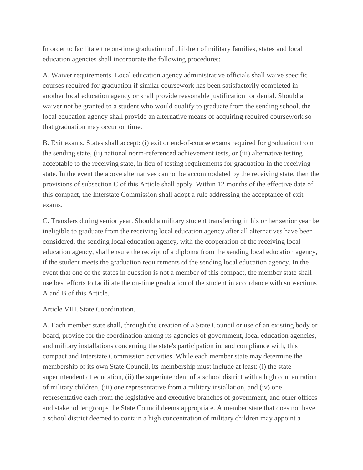In order to facilitate the on-time graduation of children of military families, states and local education agencies shall incorporate the following procedures:

A. Waiver requirements. Local education agency administrative officials shall waive specific courses required for graduation if similar coursework has been satisfactorily completed in another local education agency or shall provide reasonable justification for denial. Should a waiver not be granted to a student who would qualify to graduate from the sending school, the local education agency shall provide an alternative means of acquiring required coursework so that graduation may occur on time.

B. Exit exams. States shall accept: (i) exit or end-of-course exams required for graduation from the sending state, (ii) national norm-referenced achievement tests, or (iii) alternative testing acceptable to the receiving state, in lieu of testing requirements for graduation in the receiving state. In the event the above alternatives cannot be accommodated by the receiving state, then the provisions of subsection C of this Article shall apply. Within 12 months of the effective date of this compact, the Interstate Commission shall adopt a rule addressing the acceptance of exit exams.

C. Transfers during senior year. Should a military student transferring in his or her senior year be ineligible to graduate from the receiving local education agency after all alternatives have been considered, the sending local education agency, with the cooperation of the receiving local education agency, shall ensure the receipt of a diploma from the sending local education agency, if the student meets the graduation requirements of the sending local education agency. In the event that one of the states in question is not a member of this compact, the member state shall use best efforts to facilitate the on-time graduation of the student in accordance with subsections A and B of this Article.

Article VIII. State Coordination.

A. Each member state shall, through the creation of a State Council or use of an existing body or board, provide for the coordination among its agencies of government, local education agencies, and military installations concerning the state's participation in, and compliance with, this compact and Interstate Commission activities. While each member state may determine the membership of its own State Council, its membership must include at least: (i) the state superintendent of education, (ii) the superintendent of a school district with a high concentration of military children, (iii) one representative from a military installation, and (iv) one representative each from the legislative and executive branches of government, and other offices and stakeholder groups the State Council deems appropriate. A member state that does not have a school district deemed to contain a high concentration of military children may appoint a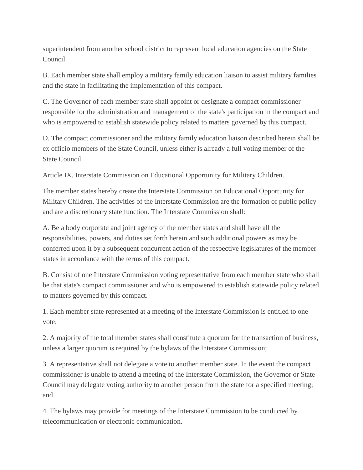superintendent from another school district to represent local education agencies on the State Council.

B. Each member state shall employ a military family education liaison to assist military families and the state in facilitating the implementation of this compact.

C. The Governor of each member state shall appoint or designate a compact commissioner responsible for the administration and management of the state's participation in the compact and who is empowered to establish statewide policy related to matters governed by this compact.

D. The compact commissioner and the military family education liaison described herein shall be ex officio members of the State Council, unless either is already a full voting member of the State Council.

Article IX. Interstate Commission on Educational Opportunity for Military Children.

The member states hereby create the Interstate Commission on Educational Opportunity for Military Children. The activities of the Interstate Commission are the formation of public policy and are a discretionary state function. The Interstate Commission shall:

A. Be a body corporate and joint agency of the member states and shall have all the responsibilities, powers, and duties set forth herein and such additional powers as may be conferred upon it by a subsequent concurrent action of the respective legislatures of the member states in accordance with the terms of this compact.

B. Consist of one Interstate Commission voting representative from each member state who shall be that state's compact commissioner and who is empowered to establish statewide policy related to matters governed by this compact.

1. Each member state represented at a meeting of the Interstate Commission is entitled to one vote;

2. A majority of the total member states shall constitute a quorum for the transaction of business, unless a larger quorum is required by the bylaws of the Interstate Commission;

3. A representative shall not delegate a vote to another member state. In the event the compact commissioner is unable to attend a meeting of the Interstate Commission, the Governor or State Council may delegate voting authority to another person from the state for a specified meeting; and

4. The bylaws may provide for meetings of the Interstate Commission to be conducted by telecommunication or electronic communication.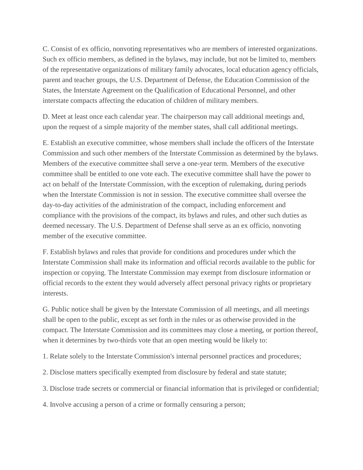C. Consist of ex officio, nonvoting representatives who are members of interested organizations. Such ex officio members, as defined in the bylaws, may include, but not be limited to, members of the representative organizations of military family advocates, local education agency officials, parent and teacher groups, the U.S. Department of Defense, the Education Commission of the States, the Interstate Agreement on the Qualification of Educational Personnel, and other interstate compacts affecting the education of children of military members.

D. Meet at least once each calendar year. The chairperson may call additional meetings and, upon the request of a simple majority of the member states, shall call additional meetings.

E. Establish an executive committee, whose members shall include the officers of the Interstate Commission and such other members of the Interstate Commission as determined by the bylaws. Members of the executive committee shall serve a one-year term. Members of the executive committee shall be entitled to one vote each. The executive committee shall have the power to act on behalf of the Interstate Commission, with the exception of rulemaking, during periods when the Interstate Commission is not in session. The executive committee shall oversee the day-to-day activities of the administration of the compact, including enforcement and compliance with the provisions of the compact, its bylaws and rules, and other such duties as deemed necessary. The U.S. Department of Defense shall serve as an ex officio, nonvoting member of the executive committee.

F. Establish bylaws and rules that provide for conditions and procedures under which the Interstate Commission shall make its information and official records available to the public for inspection or copying. The Interstate Commission may exempt from disclosure information or official records to the extent they would adversely affect personal privacy rights or proprietary interests.

G. Public notice shall be given by the Interstate Commission of all meetings, and all meetings shall be open to the public, except as set forth in the rules or as otherwise provided in the compact. The Interstate Commission and its committees may close a meeting, or portion thereof, when it determines by two-thirds vote that an open meeting would be likely to:

1. Relate solely to the Interstate Commission's internal personnel practices and procedures;

2. Disclose matters specifically exempted from disclosure by federal and state statute;

3. Disclose trade secrets or commercial or financial information that is privileged or confidential;

4. Involve accusing a person of a crime or formally censuring a person;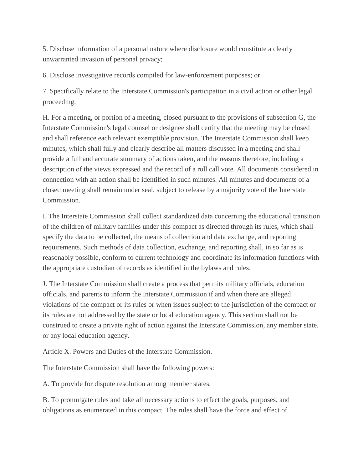5. Disclose information of a personal nature where disclosure would constitute a clearly unwarranted invasion of personal privacy;

6. Disclose investigative records compiled for law-enforcement purposes; or

7. Specifically relate to the Interstate Commission's participation in a civil action or other legal proceeding.

H. For a meeting, or portion of a meeting, closed pursuant to the provisions of subsection G, the Interstate Commission's legal counsel or designee shall certify that the meeting may be closed and shall reference each relevant exemptible provision. The Interstate Commission shall keep minutes, which shall fully and clearly describe all matters discussed in a meeting and shall provide a full and accurate summary of actions taken, and the reasons therefore, including a description of the views expressed and the record of a roll call vote. All documents considered in connection with an action shall be identified in such minutes. All minutes and documents of a closed meeting shall remain under seal, subject to release by a majority vote of the Interstate Commission.

I. The Interstate Commission shall collect standardized data concerning the educational transition of the children of military families under this compact as directed through its rules, which shall specify the data to be collected, the means of collection and data exchange, and reporting requirements. Such methods of data collection, exchange, and reporting shall, in so far as is reasonably possible, conform to current technology and coordinate its information functions with the appropriate custodian of records as identified in the bylaws and rules.

J. The Interstate Commission shall create a process that permits military officials, education officials, and parents to inform the Interstate Commission if and when there are alleged violations of the compact or its rules or when issues subject to the jurisdiction of the compact or its rules are not addressed by the state or local education agency. This section shall not be construed to create a private right of action against the Interstate Commission, any member state, or any local education agency.

Article X. Powers and Duties of the Interstate Commission.

The Interstate Commission shall have the following powers:

A. To provide for dispute resolution among member states.

B. To promulgate rules and take all necessary actions to effect the goals, purposes, and obligations as enumerated in this compact. The rules shall have the force and effect of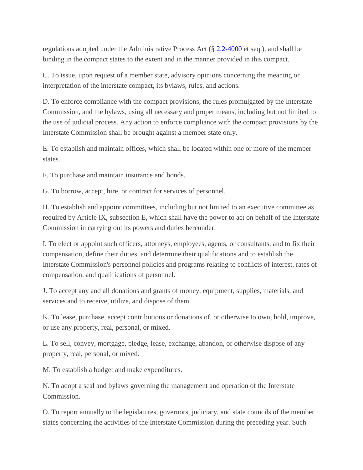regulations adopted under the Administrative Process Act (§ [2.2-4000](http://law.lis.virginia.gov/vacode/2.2-4000/) et seq.), and shall be binding in the compact states to the extent and in the manner provided in this compact.

C. To issue, upon request of a member state, advisory opinions concerning the meaning or interpretation of the interstate compact, its bylaws, rules, and actions.

D. To enforce compliance with the compact provisions, the rules promulgated by the Interstate Commission, and the bylaws, using all necessary and proper means, including but not limited to the use of judicial process. Any action to enforce compliance with the compact provisions by the Interstate Commission shall be brought against a member state only.

E. To establish and maintain offices, which shall be located within one or more of the member states.

F. To purchase and maintain insurance and bonds.

G. To borrow, accept, hire, or contract for services of personnel.

H. To establish and appoint committees, including but not limited to an executive committee as required by Article IX, subsection E, which shall have the power to act on behalf of the Interstate Commission in carrying out its powers and duties hereunder.

I. To elect or appoint such officers, attorneys, employees, agents, or consultants, and to fix their compensation, define their duties, and determine their qualifications and to establish the Interstate Commission's personnel policies and programs relating to conflicts of interest, rates of compensation, and qualifications of personnel.

J. To accept any and all donations and grants of money, equipment, supplies, materials, and services and to receive, utilize, and dispose of them.

K. To lease, purchase, accept contributions or donations of, or otherwise to own, hold, improve, or use any property, real, personal, or mixed.

L. To sell, convey, mortgage, pledge, lease, exchange, abandon, or otherwise dispose of any property, real, personal, or mixed.

M. To establish a budget and make expenditures.

N. To adopt a seal and bylaws governing the management and operation of the Interstate Commission.

O. To report annually to the legislatures, governors, judiciary, and state councils of the member states concerning the activities of the Interstate Commission during the preceding year. Such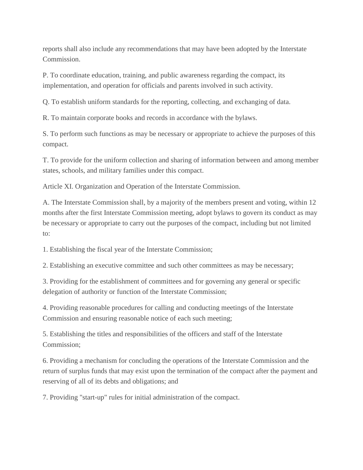reports shall also include any recommendations that may have been adopted by the Interstate Commission.

P. To coordinate education, training, and public awareness regarding the compact, its implementation, and operation for officials and parents involved in such activity.

Q. To establish uniform standards for the reporting, collecting, and exchanging of data.

R. To maintain corporate books and records in accordance with the bylaws.

S. To perform such functions as may be necessary or appropriate to achieve the purposes of this compact.

T. To provide for the uniform collection and sharing of information between and among member states, schools, and military families under this compact.

Article XI. Organization and Operation of the Interstate Commission.

A. The Interstate Commission shall, by a majority of the members present and voting, within 12 months after the first Interstate Commission meeting, adopt bylaws to govern its conduct as may be necessary or appropriate to carry out the purposes of the compact, including but not limited to:

1. Establishing the fiscal year of the Interstate Commission;

2. Establishing an executive committee and such other committees as may be necessary;

3. Providing for the establishment of committees and for governing any general or specific delegation of authority or function of the Interstate Commission;

4. Providing reasonable procedures for calling and conducting meetings of the Interstate Commission and ensuring reasonable notice of each such meeting;

5. Establishing the titles and responsibilities of the officers and staff of the Interstate Commission;

6. Providing a mechanism for concluding the operations of the Interstate Commission and the return of surplus funds that may exist upon the termination of the compact after the payment and reserving of all of its debts and obligations; and

7. Providing "start-up" rules for initial administration of the compact.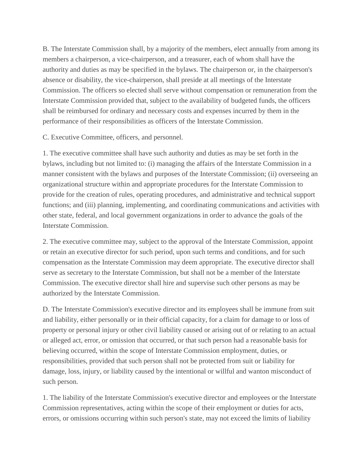B. The Interstate Commission shall, by a majority of the members, elect annually from among its members a chairperson, a vice-chairperson, and a treasurer, each of whom shall have the authority and duties as may be specified in the bylaws. The chairperson or, in the chairperson's absence or disability, the vice-chairperson, shall preside at all meetings of the Interstate Commission. The officers so elected shall serve without compensation or remuneration from the Interstate Commission provided that, subject to the availability of budgeted funds, the officers shall be reimbursed for ordinary and necessary costs and expenses incurred by them in the performance of their responsibilities as officers of the Interstate Commission.

C. Executive Committee, officers, and personnel.

1. The executive committee shall have such authority and duties as may be set forth in the bylaws, including but not limited to: (i) managing the affairs of the Interstate Commission in a manner consistent with the bylaws and purposes of the Interstate Commission; (ii) overseeing an organizational structure within and appropriate procedures for the Interstate Commission to provide for the creation of rules, operating procedures, and administrative and technical support functions; and (iii) planning, implementing, and coordinating communications and activities with other state, federal, and local government organizations in order to advance the goals of the Interstate Commission.

2. The executive committee may, subject to the approval of the Interstate Commission, appoint or retain an executive director for such period, upon such terms and conditions, and for such compensation as the Interstate Commission may deem appropriate. The executive director shall serve as secretary to the Interstate Commission, but shall not be a member of the Interstate Commission. The executive director shall hire and supervise such other persons as may be authorized by the Interstate Commission.

D. The Interstate Commission's executive director and its employees shall be immune from suit and liability, either personally or in their official capacity, for a claim for damage to or loss of property or personal injury or other civil liability caused or arising out of or relating to an actual or alleged act, error, or omission that occurred, or that such person had a reasonable basis for believing occurred, within the scope of Interstate Commission employment, duties, or responsibilities, provided that such person shall not be protected from suit or liability for damage, loss, injury, or liability caused by the intentional or willful and wanton misconduct of such person.

1. The liability of the Interstate Commission's executive director and employees or the Interstate Commission representatives, acting within the scope of their employment or duties for acts, errors, or omissions occurring within such person's state, may not exceed the limits of liability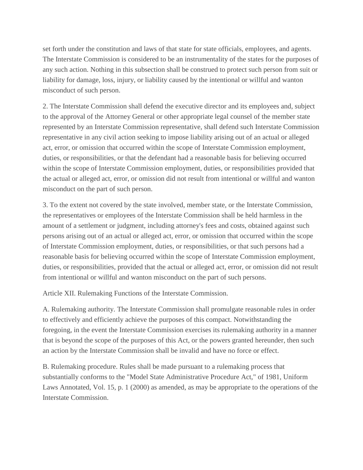set forth under the constitution and laws of that state for state officials, employees, and agents. The Interstate Commission is considered to be an instrumentality of the states for the purposes of any such action. Nothing in this subsection shall be construed to protect such person from suit or liability for damage, loss, injury, or liability caused by the intentional or willful and wanton misconduct of such person.

2. The Interstate Commission shall defend the executive director and its employees and, subject to the approval of the Attorney General or other appropriate legal counsel of the member state represented by an Interstate Commission representative, shall defend such Interstate Commission representative in any civil action seeking to impose liability arising out of an actual or alleged act, error, or omission that occurred within the scope of Interstate Commission employment, duties, or responsibilities, or that the defendant had a reasonable basis for believing occurred within the scope of Interstate Commission employment, duties, or responsibilities provided that the actual or alleged act, error, or omission did not result from intentional or willful and wanton misconduct on the part of such person.

3. To the extent not covered by the state involved, member state, or the Interstate Commission, the representatives or employees of the Interstate Commission shall be held harmless in the amount of a settlement or judgment, including attorney's fees and costs, obtained against such persons arising out of an actual or alleged act, error, or omission that occurred within the scope of Interstate Commission employment, duties, or responsibilities, or that such persons had a reasonable basis for believing occurred within the scope of Interstate Commission employment, duties, or responsibilities, provided that the actual or alleged act, error, or omission did not result from intentional or willful and wanton misconduct on the part of such persons.

Article XII. Rulemaking Functions of the Interstate Commission.

A. Rulemaking authority. The Interstate Commission shall promulgate reasonable rules in order to effectively and efficiently achieve the purposes of this compact. Notwithstanding the foregoing, in the event the Interstate Commission exercises its rulemaking authority in a manner that is beyond the scope of the purposes of this Act, or the powers granted hereunder, then such an action by the Interstate Commission shall be invalid and have no force or effect.

B. Rulemaking procedure. Rules shall be made pursuant to a rulemaking process that substantially conforms to the "Model State Administrative Procedure Act," of 1981, Uniform Laws Annotated, Vol. 15, p. 1 (2000) as amended, as may be appropriate to the operations of the Interstate Commission.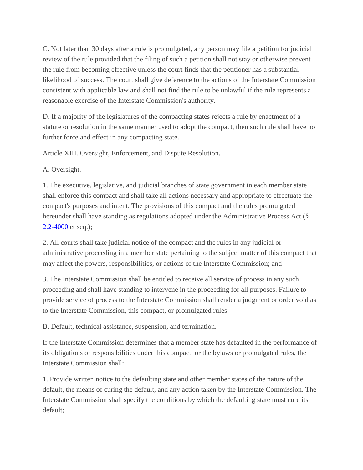C. Not later than 30 days after a rule is promulgated, any person may file a petition for judicial review of the rule provided that the filing of such a petition shall not stay or otherwise prevent the rule from becoming effective unless the court finds that the petitioner has a substantial likelihood of success. The court shall give deference to the actions of the Interstate Commission consistent with applicable law and shall not find the rule to be unlawful if the rule represents a reasonable exercise of the Interstate Commission's authority.

D. If a majority of the legislatures of the compacting states rejects a rule by enactment of a statute or resolution in the same manner used to adopt the compact, then such rule shall have no further force and effect in any compacting state.

Article XIII. Oversight, Enforcement, and Dispute Resolution.

A. Oversight.

1. The executive, legislative, and judicial branches of state government in each member state shall enforce this compact and shall take all actions necessary and appropriate to effectuate the compact's purposes and intent. The provisions of this compact and the rules promulgated hereunder shall have standing as regulations adopted under the Administrative Process Act (§ [2.2-4000](http://law.lis.virginia.gov/vacode/2.2-4000/) et seq.);

2. All courts shall take judicial notice of the compact and the rules in any judicial or administrative proceeding in a member state pertaining to the subject matter of this compact that may affect the powers, responsibilities, or actions of the Interstate Commission; and

3. The Interstate Commission shall be entitled to receive all service of process in any such proceeding and shall have standing to intervene in the proceeding for all purposes. Failure to provide service of process to the Interstate Commission shall render a judgment or order void as to the Interstate Commission, this compact, or promulgated rules.

B. Default, technical assistance, suspension, and termination.

If the Interstate Commission determines that a member state has defaulted in the performance of its obligations or responsibilities under this compact, or the bylaws or promulgated rules, the Interstate Commission shall:

1. Provide written notice to the defaulting state and other member states of the nature of the default, the means of curing the default, and any action taken by the Interstate Commission. The Interstate Commission shall specify the conditions by which the defaulting state must cure its default;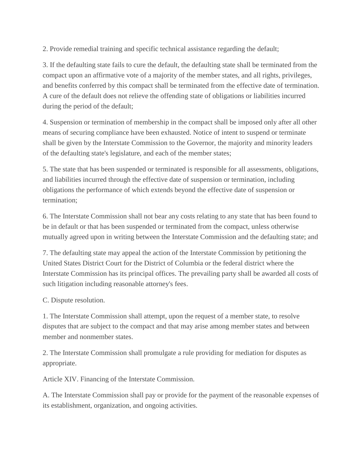2. Provide remedial training and specific technical assistance regarding the default;

3. If the defaulting state fails to cure the default, the defaulting state shall be terminated from the compact upon an affirmative vote of a majority of the member states, and all rights, privileges, and benefits conferred by this compact shall be terminated from the effective date of termination. A cure of the default does not relieve the offending state of obligations or liabilities incurred during the period of the default;

4. Suspension or termination of membership in the compact shall be imposed only after all other means of securing compliance have been exhausted. Notice of intent to suspend or terminate shall be given by the Interstate Commission to the Governor, the majority and minority leaders of the defaulting state's legislature, and each of the member states;

5. The state that has been suspended or terminated is responsible for all assessments, obligations, and liabilities incurred through the effective date of suspension or termination, including obligations the performance of which extends beyond the effective date of suspension or termination;

6. The Interstate Commission shall not bear any costs relating to any state that has been found to be in default or that has been suspended or terminated from the compact, unless otherwise mutually agreed upon in writing between the Interstate Commission and the defaulting state; and

7. The defaulting state may appeal the action of the Interstate Commission by petitioning the United States District Court for the District of Columbia or the federal district where the Interstate Commission has its principal offices. The prevailing party shall be awarded all costs of such litigation including reasonable attorney's fees.

C. Dispute resolution.

1. The Interstate Commission shall attempt, upon the request of a member state, to resolve disputes that are subject to the compact and that may arise among member states and between member and nonmember states.

2. The Interstate Commission shall promulgate a rule providing for mediation for disputes as appropriate.

Article XIV. Financing of the Interstate Commission.

A. The Interstate Commission shall pay or provide for the payment of the reasonable expenses of its establishment, organization, and ongoing activities.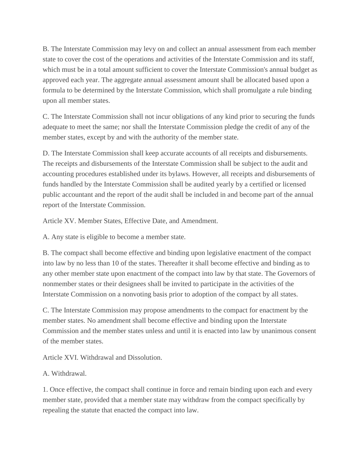B. The Interstate Commission may levy on and collect an annual assessment from each member state to cover the cost of the operations and activities of the Interstate Commission and its staff, which must be in a total amount sufficient to cover the Interstate Commission's annual budget as approved each year. The aggregate annual assessment amount shall be allocated based upon a formula to be determined by the Interstate Commission, which shall promulgate a rule binding upon all member states.

C. The Interstate Commission shall not incur obligations of any kind prior to securing the funds adequate to meet the same; nor shall the Interstate Commission pledge the credit of any of the member states, except by and with the authority of the member state.

D. The Interstate Commission shall keep accurate accounts of all receipts and disbursements. The receipts and disbursements of the Interstate Commission shall be subject to the audit and accounting procedures established under its bylaws. However, all receipts and disbursements of funds handled by the Interstate Commission shall be audited yearly by a certified or licensed public accountant and the report of the audit shall be included in and become part of the annual report of the Interstate Commission.

Article XV. Member States, Effective Date, and Amendment.

A. Any state is eligible to become a member state.

B. The compact shall become effective and binding upon legislative enactment of the compact into law by no less than 10 of the states. Thereafter it shall become effective and binding as to any other member state upon enactment of the compact into law by that state. The Governors of nonmember states or their designees shall be invited to participate in the activities of the Interstate Commission on a nonvoting basis prior to adoption of the compact by all states.

C. The Interstate Commission may propose amendments to the compact for enactment by the member states. No amendment shall become effective and binding upon the Interstate Commission and the member states unless and until it is enacted into law by unanimous consent of the member states.

Article XVI. Withdrawal and Dissolution.

A. Withdrawal.

1. Once effective, the compact shall continue in force and remain binding upon each and every member state, provided that a member state may withdraw from the compact specifically by repealing the statute that enacted the compact into law.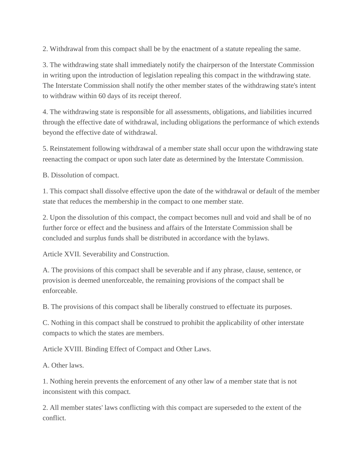2. Withdrawal from this compact shall be by the enactment of a statute repealing the same.

3. The withdrawing state shall immediately notify the chairperson of the Interstate Commission in writing upon the introduction of legislation repealing this compact in the withdrawing state. The Interstate Commission shall notify the other member states of the withdrawing state's intent to withdraw within 60 days of its receipt thereof.

4. The withdrawing state is responsible for all assessments, obligations, and liabilities incurred through the effective date of withdrawal, including obligations the performance of which extends beyond the effective date of withdrawal.

5. Reinstatement following withdrawal of a member state shall occur upon the withdrawing state reenacting the compact or upon such later date as determined by the Interstate Commission.

B. Dissolution of compact.

1. This compact shall dissolve effective upon the date of the withdrawal or default of the member state that reduces the membership in the compact to one member state.

2. Upon the dissolution of this compact, the compact becomes null and void and shall be of no further force or effect and the business and affairs of the Interstate Commission shall be concluded and surplus funds shall be distributed in accordance with the bylaws.

Article XVII. Severability and Construction.

A. The provisions of this compact shall be severable and if any phrase, clause, sentence, or provision is deemed unenforceable, the remaining provisions of the compact shall be enforceable.

B. The provisions of this compact shall be liberally construed to effectuate its purposes.

C. Nothing in this compact shall be construed to prohibit the applicability of other interstate compacts to which the states are members.

Article XVIII. Binding Effect of Compact and Other Laws.

A. Other laws.

1. Nothing herein prevents the enforcement of any other law of a member state that is not inconsistent with this compact.

2. All member states' laws conflicting with this compact are superseded to the extent of the conflict.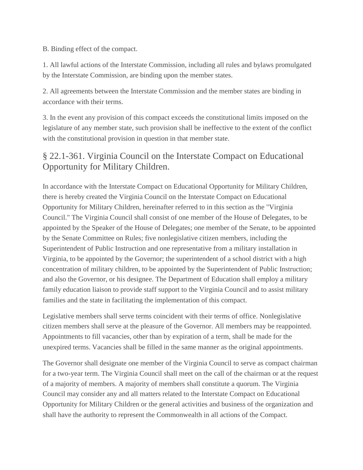B. Binding effect of the compact.

1. All lawful actions of the Interstate Commission, including all rules and bylaws promulgated by the Interstate Commission, are binding upon the member states.

2. All agreements between the Interstate Commission and the member states are binding in accordance with their terms.

3. In the event any provision of this compact exceeds the constitutional limits imposed on the legislature of any member state, such provision shall be ineffective to the extent of the conflict with the constitutional provision in question in that member state.

## § 22.1-361. Virginia Council on the Interstate Compact on Educational Opportunity for Military Children.

In accordance with the Interstate Compact on Educational Opportunity for Military Children, there is hereby created the Virginia Council on the Interstate Compact on Educational Opportunity for Military Children, hereinafter referred to in this section as the "Virginia Council." The Virginia Council shall consist of one member of the House of Delegates, to be appointed by the Speaker of the House of Delegates; one member of the Senate, to be appointed by the Senate Committee on Rules; five nonlegislative citizen members, including the Superintendent of Public Instruction and one representative from a military installation in Virginia, to be appointed by the Governor; the superintendent of a school district with a high concentration of military children, to be appointed by the Superintendent of Public Instruction; and also the Governor, or his designee. The Department of Education shall employ a military family education liaison to provide staff support to the Virginia Council and to assist military families and the state in facilitating the implementation of this compact.

Legislative members shall serve terms coincident with their terms of office. Nonlegislative citizen members shall serve at the pleasure of the Governor. All members may be reappointed. Appointments to fill vacancies, other than by expiration of a term, shall be made for the unexpired terms. Vacancies shall be filled in the same manner as the original appointments.

The Governor shall designate one member of the Virginia Council to serve as compact chairman for a two-year term. The Virginia Council shall meet on the call of the chairman or at the request of a majority of members. A majority of members shall constitute a quorum. The Virginia Council may consider any and all matters related to the Interstate Compact on Educational Opportunity for Military Children or the general activities and business of the organization and shall have the authority to represent the Commonwealth in all actions of the Compact.